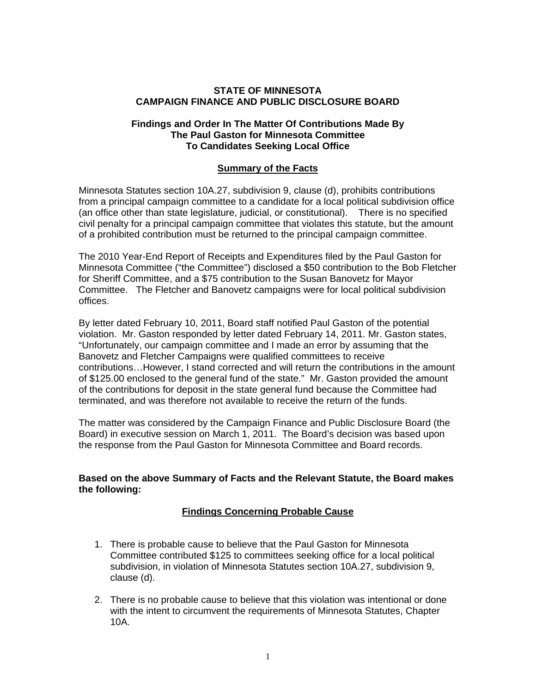## **STATE OF MINNESOTA CAMPAIGN FINANCE AND PUBLIC DISCLOSURE BOARD**

### **Findings and Order In The Matter Of Contributions Made By The Paul Gaston for Minnesota Committee To Candidates Seeking Local Office**

## **Summary of the Facts**

Minnesota Statutes section 10A.27, subdivision 9, clause (d), prohibits contributions from a principal campaign committee to a candidate for a local political subdivision office (an office other than state legislature, judicial, or constitutional). There is no specified civil penalty for a principal campaign committee that violates this statute, but the amount of a prohibited contribution must be returned to the principal campaign committee.

The 2010 Year-End Report of Receipts and Expenditures filed by the Paul Gaston for Minnesota Committee ("the Committee") disclosed a \$50 contribution to the Bob Fletcher for Sheriff Committee, and a \$75 contribution to the Susan Banovetz for Mayor Committee. The Fletcher and Banovetz campaigns were for local political subdivision offices.

By letter dated February 10, 2011, Board staff notified Paul Gaston of the potential violation. Mr. Gaston responded by letter dated February 14, 2011. Mr. Gaston states, "Unfortunately, our campaign committee and I made an error by assuming that the Banovetz and Fletcher Campaigns were qualified committees to receive contributions…However, I stand corrected and will return the contributions in the amount of \$125.00 enclosed to the general fund of the state." Mr. Gaston provided the amount of the contributions for deposit in the state general fund because the Committee had terminated, and was therefore not available to receive the return of the funds.

The matter was considered by the Campaign Finance and Public Disclosure Board (the Board) in executive session on March 1, 2011. The Board's decision was based upon the response from the Paul Gaston for Minnesota Committee and Board records.

#### **Based on the above Summary of Facts and the Relevant Statute, the Board makes the following:**

# **Findings Concerning Probable Cause**

- 1. There is probable cause to believe that the Paul Gaston for Minnesota Committee contributed \$125 to committees seeking office for a local political subdivision, in violation of Minnesota Statutes section 10A.27, subdivision 9, clause (d).
- 2. There is no probable cause to believe that this violation was intentional or done with the intent to circumvent the requirements of Minnesota Statutes, Chapter 10A.